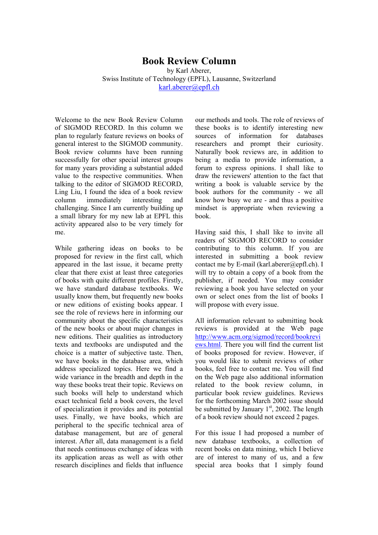## **Book Review Column**

by Karl Aberer, Swiss Institute of Technology (EPFL), Lausanne, Switzerland [karl.aberer@epfl.ch](mailto:karl.aberer@epfl.ch)

Welcome to the new Book Review Column of SIGMOD RECORD. In this column we plan to regularly feature reviews on books of general interest to the SIGMOD community. Book review columns have been running successfully for other special interest groups for many years providing a substantial added value to the respective communities. When talking to the editor of SIGMOD RECORD, Ling Liu, I found the idea of a book review column immediately interesting and challenging. Since I am currently building up a small library for my new lab at EPFL this activity appeared also to be very timely for me.

While gathering ideas on books to be proposed for review in the first call, which appeared in the last issue, it became pretty clear that there exist at least three categories of books with quite different profiles. Firstly, we have standard database textbooks. We usually know them, but frequently new books or new editions of existing books appear. I see the role of reviews here in informing our community about the specific characteristics of the new books or about major changes in new editions. Their qualities as introductory texts and textbooks are undisputed and the choice is a matter of subjective taste. Then, we have books in the database area, which address specialized topics. Here we find a wide variance in the breadth and depth in the way these books treat their topic. Reviews on such books will help to understand which exact technical field a book covers, the level of specialization it provides and its potential uses. Finally, we have books, which are peripheral to the specific technical area of database management, but are of general interest. After all, data management is a field that needs continuous exchange of ideas with its application areas as well as with other research disciplines and fields that influence our methods and tools. The role of reviews of these books is to identify interesting new sources of information for databases researchers and prompt their curiosity. Naturally book reviews are, in addition to being a media to provide information, a forum to express opinions. I shall like to draw the reviewers' attention to the fact that writing a book is valuable service by the book authors for the community - we all know how busy we are - and thus a positive mindset is appropriate when reviewing a book.

Having said this, I shall like to invite all readers of SIGMOD RECORD to consider contributing to this column. If you are interested in submitting a book review contact me by E-mail (karl.aberer@epfl.ch). I will try to obtain a copy of a book from the publisher, if needed. You may consider reviewing a book you have selected on your own or select ones from the list of books I will propose with every issue.

All information relevant to submitting book reviews is provided at the Web page [http://www.acm.org/sigmod/record/bookrevi](http://www.acm.org/sigmod/record/bookreviews.html) [ews.html.](http://www.acm.org/sigmod/record/bookreviews.html) There you will find the current list of books proposed for review. However, if you would like to submit reviews of other books, feel free to contact me. You will find on the Web page also additional information related to the book review column, in particular book review guidelines. Reviews for the forthcoming March 2002 issue should be submitted by January  $1<sup>st</sup>$ , 2002. The length of a book review should not exceed 2 pages.

For this issue I had proposed a number of new database textbooks, a collection of recent books on data mining, which I believe are of interest to many of us, and a few special area books that I simply found